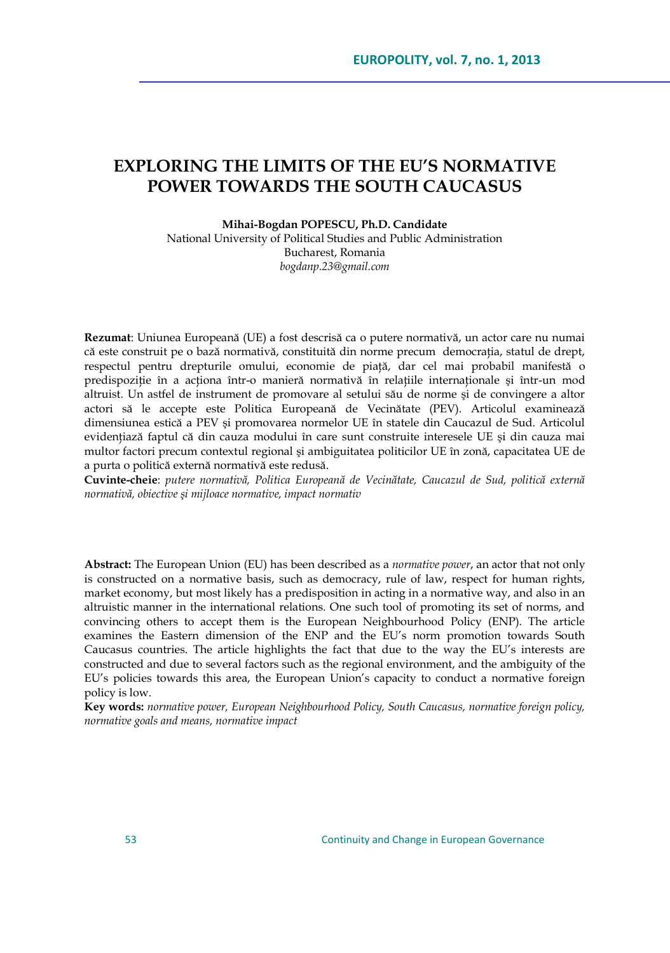# **EXPLORING THE LIMITS OF THE EU'S NORMATIVE POWER TOWARDS THE SOUTH CAUCASUS**

**Mihai-Bogdan POPESCU, Ph.D. Candidate**

National University of Political Studies and Public Administration Bucharest, Romania *bogdanp.23@gmail.com*

**Rezumat**: Uniunea Europeană (UE) a fost descrisă ca o putere normativă, un actor care nu numai că este construit pe o bază normativă, constituită din norme precum democrația, statul de drept, respectul pentru drepturile omului, economie de piaţă, dar cel mai probabil manifestă o predispoziție în a acționa într-o manieră normativă în relațiile internaționale și într-un mod altruist. Un astfel de instrument de promovare al setului său de norme şi de convingere a altor actori să le accepte este Politica Europeană de Vecinătate (PEV). Articolul examinează dimensiunea estică a PEV şi promovarea normelor UE în statele din Caucazul de Sud. Articolul evidenţiază faptul că din cauza modului în care sunt construite interesele UE şi din cauza mai multor factori precum contextul regional şi ambiguitatea politicilor UE în zonă, capacitatea UE de a purta o politică externă normativă este redusă.

**Cuvinte-cheie**: *putere normativă, Politica Europeană de Vecinătate, Caucazul de Sud, politică externă normativă, obiective şi mijloace normative, impact normativ*

**Abstract:** The European Union (EU) has been described as a *normative power*, an actor that not only is constructed on a normative basis, such as democracy, rule of law, respect for human rights, market economy, but most likely has a predisposition in acting in a normative way, and also in an altruistic manner in the international relations. One such tool of promoting its set of norms, and convincing others to accept them is the European Neighbourhood Policy (ENP). The article examines the Eastern dimension of the ENP and the EU"s norm promotion towards South Caucasus countries. The article highlights the fact that due to the way the EU"s interests are constructed and due to several factors such as the regional environment, and the ambiguity of the EU"s policies towards this area, the European Union"s capacity to conduct a normative foreign policy is low.

**Key words:** *normative power, European Neighbourhood Policy, South Caucasus, normative foreign policy, normative goals and means, normative impact*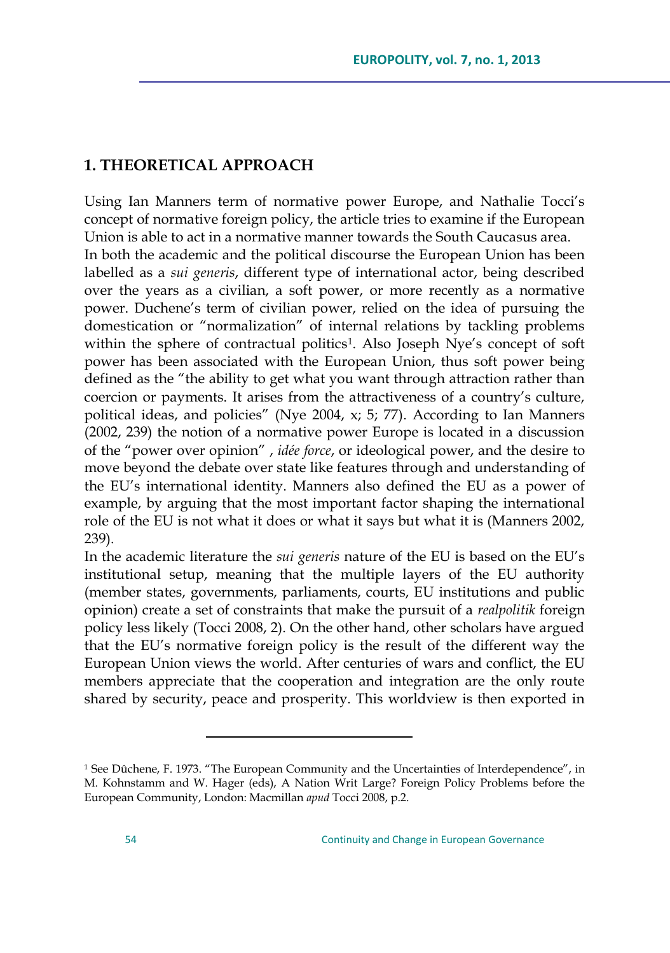## **1. THEORETICAL APPROACH**

Using Ian Manners term of normative power Europe, and Nathalie Tocci"s concept of normative foreign policy, the article tries to examine if the European Union is able to act in a normative manner towards the South Caucasus area. In both the academic and the political discourse the European Union has been labelled as a *sui generis*, different type of international actor, being described over the years as a civilian, a soft power, or more recently as a normative power. Duchene's term of civilian power, relied on the idea of pursuing the domestication or "normalization" of internal relations by tackling problems within the sphere of contractual politics<sup>1</sup>. Also Joseph Nye's concept of soft power has been associated with the European Union, thus soft power being defined as the "the ability to get what you want through attraction rather than coercion or payments. It arises from the attractiveness of a country"s culture, political ideas, and policies" (Nye 2004, x; 5; 77). According to Ian Manners (2002, 239) the notion of a normative power Europe is located in a discussion of the "power over opinion" , *idée force*, or ideological power, and the desire to move beyond the debate over state like features through and understanding of the EU"s international identity. Manners also defined the EU as a power of example, by arguing that the most important factor shaping the international role of the EU is not what it does or what it says but what it is (Manners 2002, 239).

In the academic literature the *sui generis* nature of the EU is based on the EU"s institutional setup, meaning that the multiple layers of the EU authority (member states, governments, parliaments, courts, EU institutions and public opinion) create a set of constraints that make the pursuit of a *realpolitik* foreign policy less likely (Tocci 2008, 2). On the other hand, other scholars have argued that the EU"s normative foreign policy is the result of the different way the European Union views the world. After centuries of wars and conflict, the EU members appreciate that the cooperation and integration are the only route shared by security, peace and prosperity. This worldview is then exported in

<sup>&</sup>lt;sup>1</sup> See Dûchene, F. 1973. "The European Community and the Uncertainties of Interdependence", in M. Kohnstamm and W. Hager (eds), A Nation Writ Large? Foreign Policy Problems before the European Community, London: Macmillan *apud* Tocci 2008, p.2.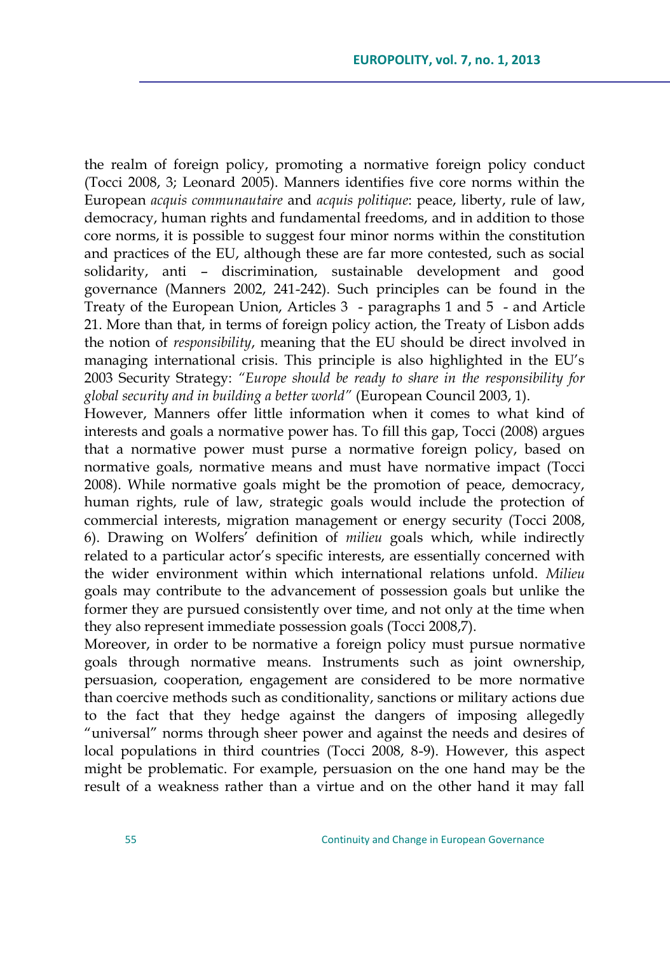the realm of foreign policy, promoting a normative foreign policy conduct (Tocci 2008, 3; Leonard 2005). Manners identifies five core norms within the European *acquis communautaire* and *acquis politique*: peace, liberty, rule of law, democracy, human rights and fundamental freedoms, and in addition to those core norms, it is possible to suggest four minor norms within the constitution and practices of the EU, although these are far more contested, such as social solidarity, anti – discrimination, sustainable development and good governance (Manners 2002, 241-242). Such principles can be found in the Treaty of the European Union, Articles 3 - paragraphs 1 and 5 - and Article 21. More than that, in terms of foreign policy action, the Treaty of Lisbon adds the notion of *responsibility*, meaning that the EU should be direct involved in managing international crisis. This principle is also highlighted in the EU"s 2003 Security Strategy: *"Europe should be ready to share in the responsibility for global security and in building a better world"* (European Council 2003, 1).

However, Manners offer little information when it comes to what kind of interests and goals a normative power has. To fill this gap, Tocci (2008) argues that a normative power must purse a normative foreign policy, based on normative goals, normative means and must have normative impact (Tocci 2008). While normative goals might be the promotion of peace, democracy, human rights, rule of law, strategic goals would include the protection of commercial interests, migration management or energy security (Tocci 2008, 6). Drawing on Wolfers" definition of *milieu* goals which, while indirectly related to a particular actor's specific interests, are essentially concerned with the wider environment within which international relations unfold. *Milieu* goals may contribute to the advancement of possession goals but unlike the former they are pursued consistently over time, and not only at the time when they also represent immediate possession goals (Tocci 2008,7).

Moreover, in order to be normative a foreign policy must pursue normative goals through normative means. Instruments such as joint ownership, persuasion, cooperation, engagement are considered to be more normative than coercive methods such as conditionality, sanctions or military actions due to the fact that they hedge against the dangers of imposing allegedly "universal" norms through sheer power and against the needs and desires of local populations in third countries (Tocci 2008, 8-9). However, this aspect might be problematic. For example, persuasion on the one hand may be the result of a weakness rather than a virtue and on the other hand it may fall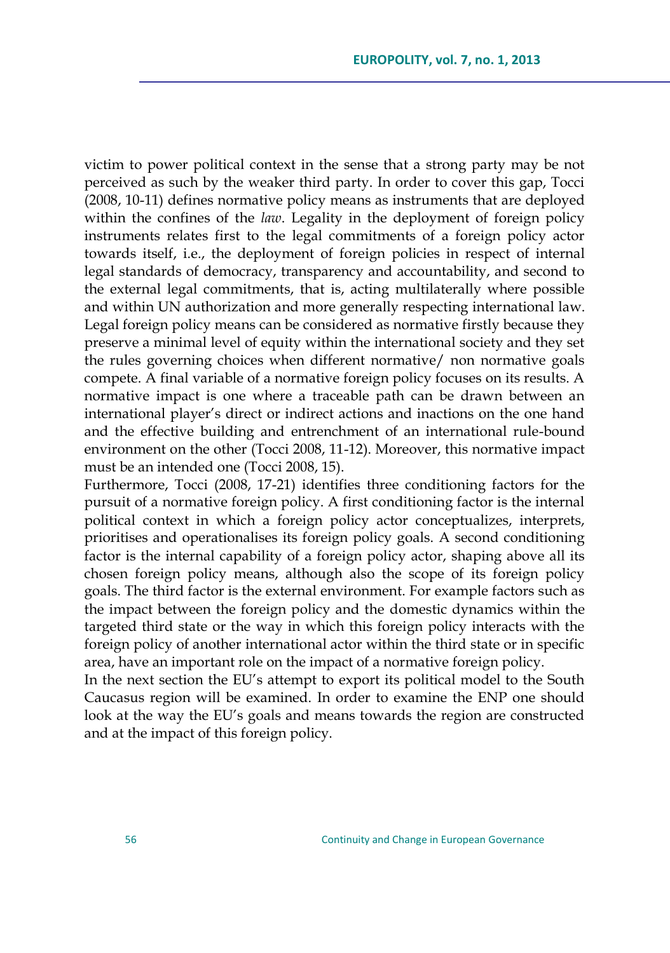victim to power political context in the sense that a strong party may be not perceived as such by the weaker third party. In order to cover this gap, Tocci (2008, 10-11) defines normative policy means as instruments that are deployed within the confines of the *law*. Legality in the deployment of foreign policy instruments relates first to the legal commitments of a foreign policy actor towards itself, i.e., the deployment of foreign policies in respect of internal legal standards of democracy, transparency and accountability, and second to the external legal commitments, that is, acting multilaterally where possible and within UN authorization and more generally respecting international law. Legal foreign policy means can be considered as normative firstly because they preserve a minimal level of equity within the international society and they set the rules governing choices when different normative/ non normative goals compete. A final variable of a normative foreign policy focuses on its results. A normative impact is one where a traceable path can be drawn between an international player"s direct or indirect actions and inactions on the one hand and the effective building and entrenchment of an international rule-bound environment on the other (Tocci 2008, 11-12). Moreover, this normative impact must be an intended one (Tocci 2008, 15).

Furthermore, Tocci (2008, 17-21) identifies three conditioning factors for the pursuit of a normative foreign policy. A first conditioning factor is the internal political context in which a foreign policy actor conceptualizes, interprets, prioritises and operationalises its foreign policy goals. A second conditioning factor is the internal capability of a foreign policy actor, shaping above all its chosen foreign policy means, although also the scope of its foreign policy goals. The third factor is the external environment. For example factors such as the impact between the foreign policy and the domestic dynamics within the targeted third state or the way in which this foreign policy interacts with the foreign policy of another international actor within the third state or in specific area, have an important role on the impact of a normative foreign policy.

In the next section the EU"s attempt to export its political model to the South Caucasus region will be examined. In order to examine the ENP one should look at the way the EU"s goals and means towards the region are constructed and at the impact of this foreign policy.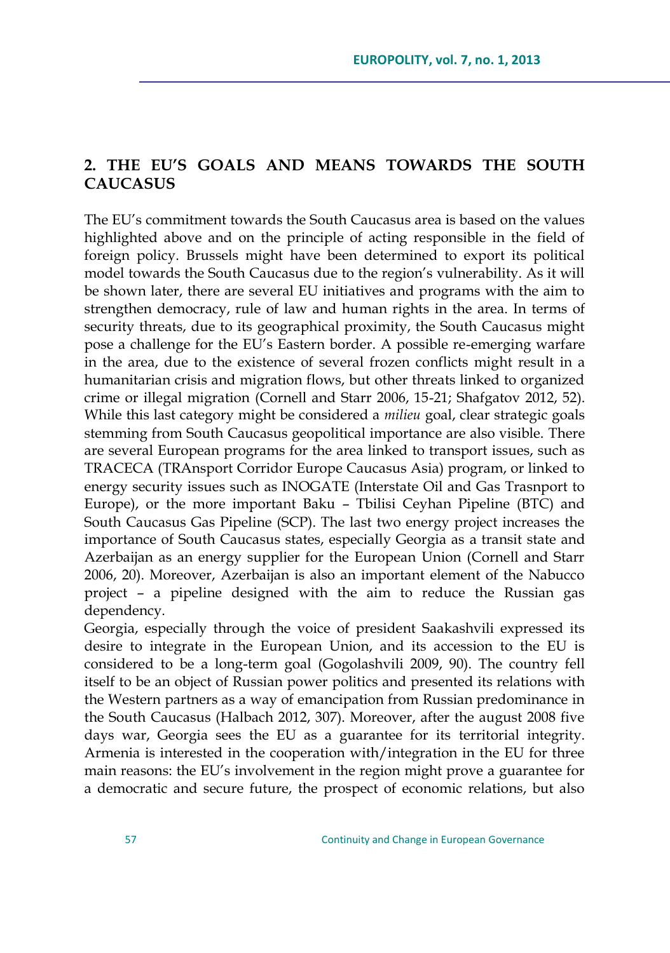## **2. THE EU'S GOALS AND MEANS TOWARDS THE SOUTH CAUCASUS**

The EU"s commitment towards the South Caucasus area is based on the values highlighted above and on the principle of acting responsible in the field of foreign policy. Brussels might have been determined to export its political model towards the South Caucasus due to the region's vulnerability. As it will be shown later, there are several EU initiatives and programs with the aim to strengthen democracy, rule of law and human rights in the area. In terms of security threats, due to its geographical proximity, the South Caucasus might pose a challenge for the EU"s Eastern border. A possible re-emerging warfare in the area, due to the existence of several frozen conflicts might result in a humanitarian crisis and migration flows, but other threats linked to organized crime or illegal migration (Cornell and Starr 2006, 15-21; Shafgatov 2012, 52). While this last category might be considered a *milieu* goal, clear strategic goals stemming from South Caucasus geopolitical importance are also visible. There are several European programs for the area linked to transport issues, such as TRACECA (TRAnsport Corridor Europe Caucasus Asia) program, or linked to energy security issues such as INOGATE (Interstate Oil and Gas Trasnport to Europe), or the more important Baku – Tbilisi Ceyhan Pipeline (BTC) and South Caucasus Gas Pipeline (SCP). The last two energy project increases the importance of South Caucasus states, especially Georgia as a transit state and Azerbaijan as an energy supplier for the European Union (Cornell and Starr 2006, 20). Moreover, Azerbaijan is also an important element of the Nabucco project – a pipeline designed with the aim to reduce the Russian gas dependency.

Georgia, especially through the voice of president Saakashvili expressed its desire to integrate in the European Union, and its accession to the EU is considered to be a long-term goal (Gogolashvili 2009, 90). The country fell itself to be an object of Russian power politics and presented its relations with the Western partners as a way of emancipation from Russian predominance in the South Caucasus (Halbach 2012, 307). Moreover, after the august 2008 five days war, Georgia sees the EU as a guarantee for its territorial integrity. Armenia is interested in the cooperation with/integration in the EU for three main reasons: the EU"s involvement in the region might prove a guarantee for a democratic and secure future, the prospect of economic relations, but also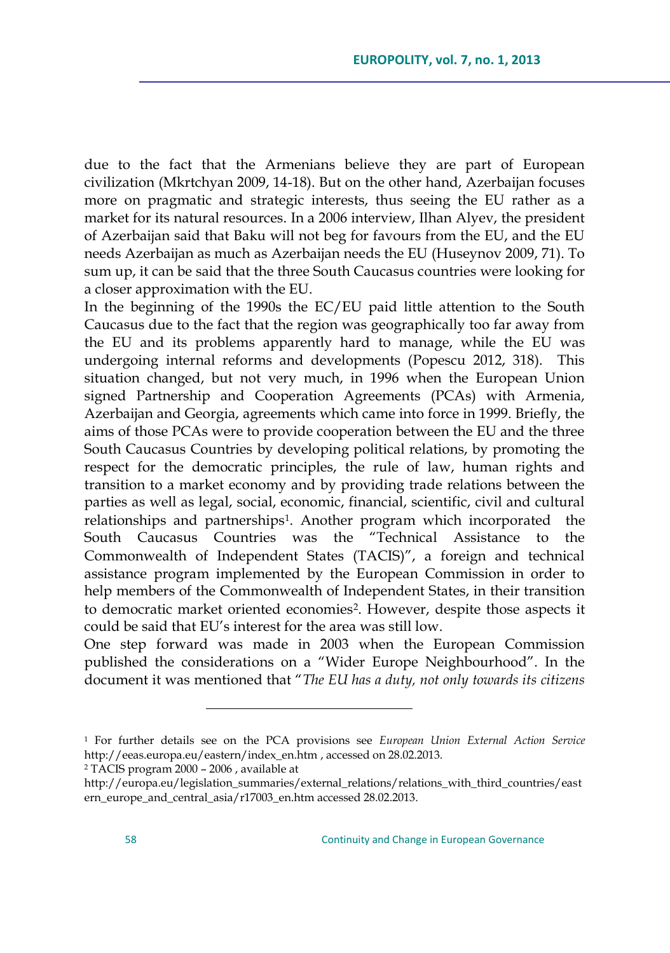due to the fact that the Armenians believe they are part of European civilization (Mkrtchyan 2009, 14-18). But on the other hand, Azerbaijan focuses more on pragmatic and strategic interests, thus seeing the EU rather as a market for its natural resources. In a 2006 interview, Ilhan Alyev, the president of Azerbaijan said that Baku will not beg for favours from the EU, and the EU needs Azerbaijan as much as Azerbaijan needs the EU (Huseynov 2009, 71). To sum up, it can be said that the three South Caucasus countries were looking for a closer approximation with the EU.

In the beginning of the 1990s the EC/EU paid little attention to the South Caucasus due to the fact that the region was geographically too far away from the EU and its problems apparently hard to manage, while the EU was undergoing internal reforms and developments (Popescu 2012, 318). This situation changed, but not very much, in 1996 when the European Union signed Partnership and Cooperation Agreements (PCAs) with Armenia, Azerbaijan and Georgia, agreements which came into force in 1999. Briefly, the aims of those PCAs were to provide cooperation between the EU and the three South Caucasus Countries by developing political relations, by promoting the respect for the democratic principles, the rule of law, human rights and transition to a market economy and by providing trade relations between the parties as well as legal, social, economic, financial, scientific, civil and cultural relationships and partnerships<sup>1</sup>. Another program which incorporated the South Caucasus Countries was the "Technical Assistance to the Commonwealth of Independent States (TACIS)", a foreign and technical assistance program implemented by the European Commission in order to help members of the Commonwealth of Independent States, in their transition to democratic market oriented economies<sup>2</sup>. However, despite those aspects it could be said that EU"s interest for the area was still low.

One step forward was made in 2003 when the European Commission published the considerations on a "Wider Europe Neighbourhood". In the document it was mentioned that "*The EU has a duty, not only towards its citizens* 

<sup>2</sup> TACIS program 2000 – 2006 , available at

<sup>1</sup> For further details see on the PCA provisions see *European Union External Action Service* [http://eeas.europa.eu/eastern/index\\_en.htm](http://eeas.europa.eu/eastern/index_en.htm) , accessed on 28.02.2013.

[http://europa.eu/legislation\\_summaries/external\\_relations/relations\\_with\\_third\\_countries/east](http://europa.eu/legislation_summaries/external_relations/relations_with_third_countries/eastern_europe_and_central_asia/r17003_en.htm) [ern\\_europe\\_and\\_central\\_asia/r17003\\_en.htm](http://europa.eu/legislation_summaries/external_relations/relations_with_third_countries/eastern_europe_and_central_asia/r17003_en.htm) accessed 28.02.2013.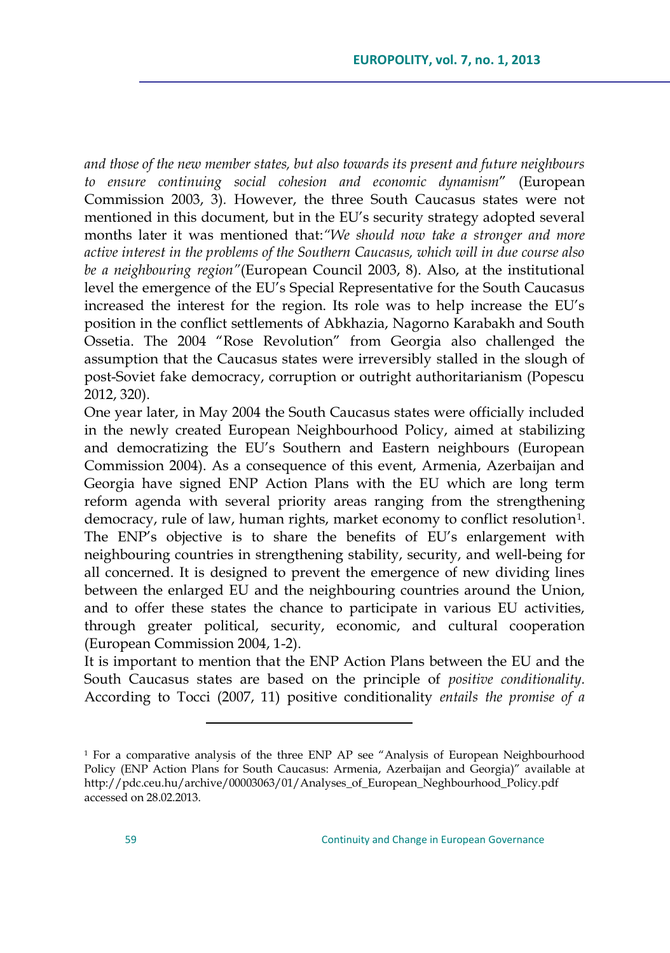*and those of the new member states, but also towards its present and future neighbours to ensure continuing social cohesion and economic dynamism*" (European Commission 2003, 3)*.* However, the three South Caucasus states were not mentioned in this document, but in the EU"s security strategy adopted several months later it was mentioned that:*"We should now take a stronger and more active interest in the problems of the Southern Caucasus, which will in due course also be a neighbouring region"*(European Council 2003, 8). Also, at the institutional level the emergence of the EU"s Special Representative for the South Caucasus increased the interest for the region. Its role was to help increase the EU"s position in the conflict settlements of Abkhazia, Nagorno Karabakh and South Ossetia. The 2004 "Rose Revolution" from Georgia also challenged the assumption that the Caucasus states were irreversibly stalled in the slough of post-Soviet fake democracy, corruption or outright authoritarianism (Popescu 2012, 320).

One year later, in May 2004 the South Caucasus states were officially included in the newly created European Neighbourhood Policy, aimed at stabilizing and democratizing the EU"s Southern and Eastern neighbours (European Commission 2004). As a consequence of this event, Armenia, Azerbaijan and Georgia have signed ENP Action Plans with the EU which are long term reform agenda with several priority areas ranging from the strengthening democracy, rule of law, human rights, market economy to conflict resolution<sup>1</sup> . The ENP's objective is to share the benefits of EU's enlargement with neighbouring countries in strengthening stability, security, and well-being for all concerned. It is designed to prevent the emergence of new dividing lines between the enlarged EU and the neighbouring countries around the Union, and to offer these states the chance to participate in various EU activities, through greater political, security, economic, and cultural cooperation (European Commission 2004, 1-2).

It is important to mention that the ENP Action Plans between the EU and the South Caucasus states are based on the principle of *positive conditionality.* According to Tocci (2007, 11) positive conditionality *entails the promise of a* 

<sup>1</sup> For a comparative analysis of the three ENP AP see "Analysis of European Neighbourhood Policy (ENP Action Plans for South Caucasus: Armenia, Azerbaijan and Georgia)" available at [http://pdc.ceu.hu/archive/00003063/01/Analyses\\_of\\_European\\_Neghbourhood\\_Policy.pdf](http://pdc.ceu.hu/archive/00003063/01/Analyses_of_European_Neghbourhood_Policy.pdf) accessed on 28.02.2013.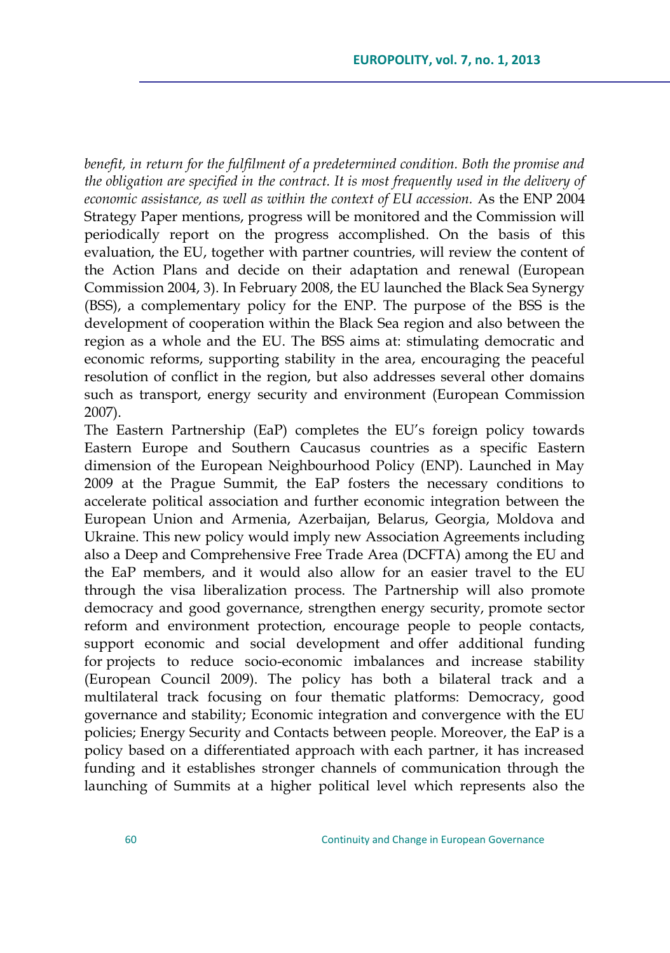*benefit, in return for the fulfilment of a predetermined condition. Both the promise and the obligation are specified in the contract. It is most frequently used in the delivery of economic assistance, as well as within the context of EU accession.* As the ENP 2004 Strategy Paper mentions, progress will be monitored and the Commission will periodically report on the progress accomplished. On the basis of this evaluation, the EU, together with partner countries, will review the content of the Action Plans and decide on their adaptation and renewal (European Commission 2004, 3). In February 2008, the EU launched the Black Sea Synergy (BSS), a complementary policy for the ENP. The purpose of the BSS is the development of cooperation within the Black Sea region and also between the region as a whole and the EU. The BSS aims at: stimulating democratic and economic reforms, supporting stability in the area, encouraging the peaceful resolution of conflict in the region, but also addresses several other domains such as transport, energy security and environment (European Commission 2007).

The Eastern Partnership (EaP) completes the EU"s foreign policy towards Eastern Europe and Southern Caucasus countries as a specific Eastern dimension of the European Neighbourhood Policy (ENP). Launched in May 2009 at the Prague Summit, the EaP fosters the necessary conditions to accelerate political association and further economic integration between the European Union and Armenia, Azerbaijan, Belarus, Georgia, Moldova and Ukraine. This new policy would imply new Association Agreements including also a Deep and Comprehensive Free Trade Area (DCFTA) among the EU and the EaP members, and it would also allow for an easier travel to the EU through the visa liberalization process. The Partnership will also promote democracy and good governance, strengthen energy security, promote sector reform and environment protection, encourage people to people contacts, support economic and social development and offer additional funding for projects to reduce socio-economic imbalances and increase stability (European Council 2009). The policy has both a bilateral track and a multilateral track focusing on four thematic platforms: Democracy, good governance and stability; Economic integration and convergence with the EU policies; Energy Security and Contacts between people. Moreover, the EaP is a policy based on a differentiated approach with each partner, it has increased funding and it establishes stronger channels of communication through the launching of Summits at a higher political level which represents also the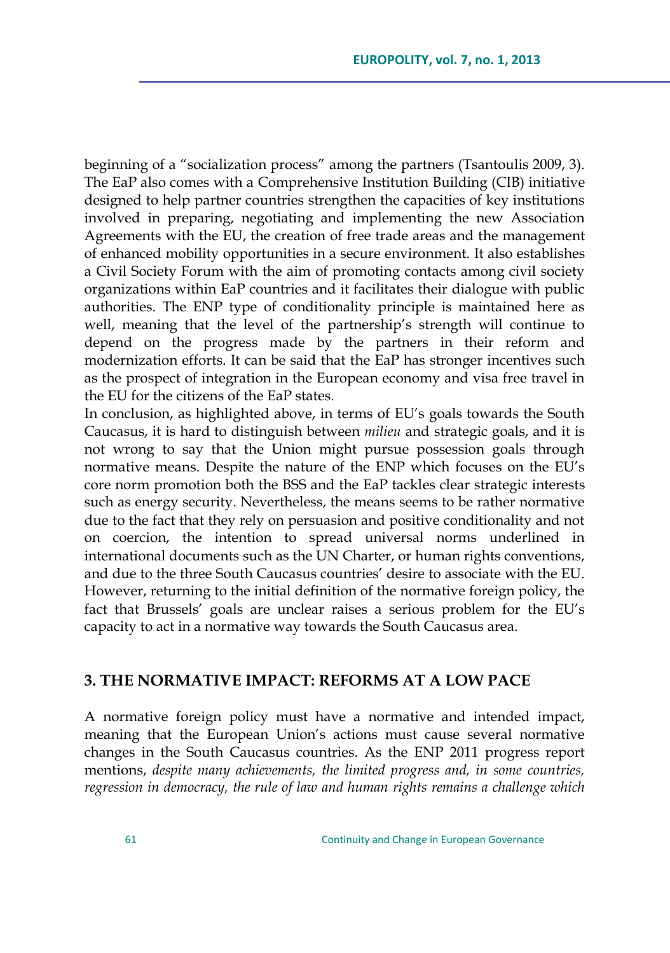beginning of a "socialization process" among the partners (Tsantoulis 2009, 3). The EaP also comes with a Comprehensive Institution Building (CIB) initiative designed to help partner countries strengthen the capacities of key institutions involved in preparing, negotiating and implementing the new Association Agreements with the EU, the creation of free trade areas and the management of enhanced mobility opportunities in a secure environment. It also establishes a Civil Society Forum with the aim of promoting contacts among civil society organizations within EaP countries and it facilitates their dialogue with public authorities. The ENP type of conditionality principle is maintained here as well, meaning that the level of the partnership's strength will continue to depend on the progress made by the partners in their reform and modernization efforts. It can be said that the EaP has stronger incentives such as the prospect of integration in the European economy and visa free travel in the EU for the citizens of the EaP states.

In conclusion, as highlighted above, in terms of EU"s goals towards the South Caucasus, it is hard to distinguish between *milieu* and strategic goals, and it is not wrong to say that the Union might pursue possession goals through normative means. Despite the nature of the ENP which focuses on the EU"s core norm promotion both the BSS and the EaP tackles clear strategic interests such as energy security. Nevertheless, the means seems to be rather normative due to the fact that they rely on persuasion and positive conditionality and not on coercion, the intention to spread universal norms underlined in international documents such as the UN Charter, or human rights conventions, and due to the three South Caucasus countries' desire to associate with the EU. However, returning to the initial definition of the normative foreign policy, the fact that Brussels' goals are unclear raises a serious problem for the EU's capacity to act in a normative way towards the South Caucasus area.

## **3. THE NORMATIVE IMPACT: REFORMS AT A LOW PACE**

A normative foreign policy must have a normative and intended impact, meaning that the European Union"s actions must cause several normative changes in the South Caucasus countries. As the ENP 2011 progress report mentions, *despite many achievements, the limited progress and, in some countries, regression in democracy, the rule of law and human rights remains a challenge which*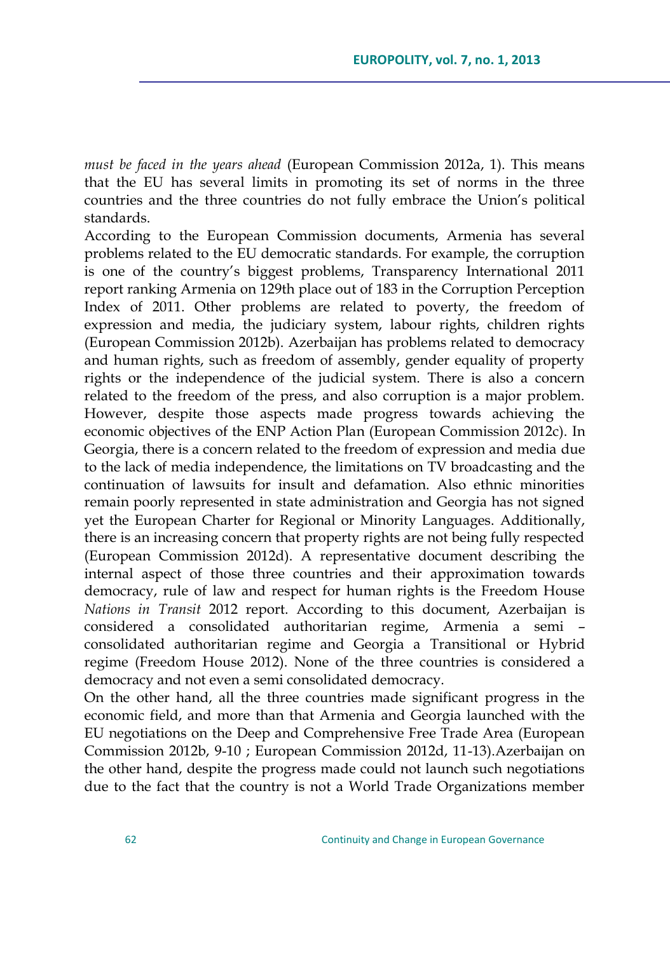*must be faced in the years ahead* (European Commission 2012a, 1). This means that the EU has several limits in promoting its set of norms in the three countries and the three countries do not fully embrace the Union"s political standards.

According to the European Commission documents, Armenia has several problems related to the EU democratic standards. For example, the corruption is one of the country"s biggest problems, Transparency International 2011 report ranking Armenia on 129th place out of 183 in the Corruption Perception Index of 2011. Other problems are related to poverty, the freedom of expression and media, the judiciary system, labour rights, children rights (European Commission 2012b). Azerbaijan has problems related to democracy and human rights, such as freedom of assembly, gender equality of property rights or the independence of the judicial system. There is also a concern related to the freedom of the press, and also corruption is a major problem. However, despite those aspects made progress towards achieving the economic objectives of the ENP Action Plan (European Commission 2012c). In Georgia, there is a concern related to the freedom of expression and media due to the lack of media independence, the limitations on TV broadcasting and the continuation of lawsuits for insult and defamation. Also ethnic minorities remain poorly represented in state administration and Georgia has not signed yet the European Charter for Regional or Minority Languages. Additionally, there is an increasing concern that property rights are not being fully respected (European Commission 2012d). A representative document describing the internal aspect of those three countries and their approximation towards democracy, rule of law and respect for human rights is the Freedom House *Nations in Transit* 2012 report. According to this document, Azerbaijan is considered a consolidated authoritarian regime, Armenia a semi – consolidated authoritarian regime and Georgia a Transitional or Hybrid regime (Freedom House 2012). None of the three countries is considered a democracy and not even a semi consolidated democracy.

On the other hand, all the three countries made significant progress in the economic field, and more than that Armenia and Georgia launched with the EU negotiations on the Deep and Comprehensive Free Trade Area (European Commission 2012b, 9-10 ; European Commission 2012d, 11-13).Azerbaijan on the other hand, despite the progress made could not launch such negotiations due to the fact that the country is not a World Trade Organizations member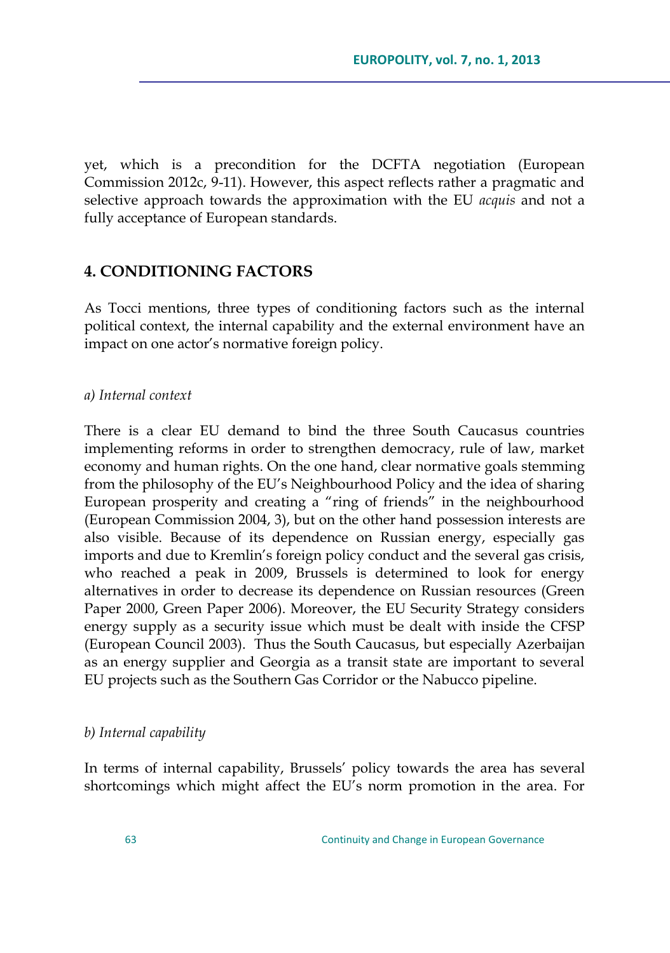yet, which is a precondition for the DCFTA negotiation (European Commission 2012c, 9-11). However, this aspect reflects rather a pragmatic and selective approach towards the approximation with the EU *acquis* and not a fully acceptance of European standards.

## **4. CONDITIONING FACTORS**

As Tocci mentions, three types of conditioning factors such as the internal political context, the internal capability and the external environment have an impact on one actor's normative foreign policy.

#### *a) Internal context*

There is a clear EU demand to bind the three South Caucasus countries implementing reforms in order to strengthen democracy, rule of law, market economy and human rights. On the one hand, clear normative goals stemming from the philosophy of the EU"s Neighbourhood Policy and the idea of sharing European prosperity and creating a "ring of friends" in the neighbourhood (European Commission 2004, 3), but on the other hand possession interests are also visible. Because of its dependence on Russian energy, especially gas imports and due to Kremlin's foreign policy conduct and the several gas crisis, who reached a peak in 2009, Brussels is determined to look for energy alternatives in order to decrease its dependence on Russian resources (Green Paper 2000, Green Paper 2006). Moreover, the EU Security Strategy considers energy supply as a security issue which must be dealt with inside the CFSP (European Council 2003). Thus the South Caucasus, but especially Azerbaijan as an energy supplier and Georgia as a transit state are important to several EU projects such as the Southern Gas Corridor or the Nabucco pipeline.

### *b) Internal capability*

In terms of internal capability, Brussels" policy towards the area has several shortcomings which might affect the EU"s norm promotion in the area. For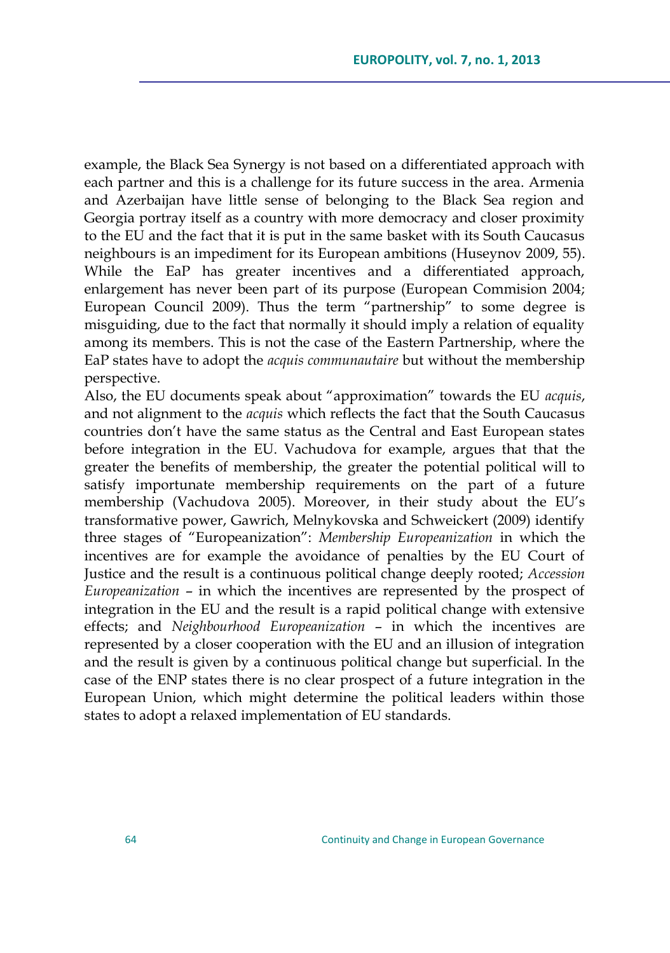example, the Black Sea Synergy is not based on a differentiated approach with each partner and this is a challenge for its future success in the area. Armenia and Azerbaijan have little sense of belonging to the Black Sea region and Georgia portray itself as a country with more democracy and closer proximity to the EU and the fact that it is put in the same basket with its South Caucasus neighbours is an impediment for its European ambitions (Huseynov 2009, 55). While the EaP has greater incentives and a differentiated approach, enlargement has never been part of its purpose (European Commision 2004; European Council 2009). Thus the term "partnership" to some degree is misguiding, due to the fact that normally it should imply a relation of equality among its members. This is not the case of the Eastern Partnership, where the EaP states have to adopt the *acquis communautaire* but without the membership perspective.

Also, the EU documents speak about "approximation" towards the EU *acquis*, and not alignment to the *acquis* which reflects the fact that the South Caucasus countries don"t have the same status as the Central and East European states before integration in the EU. Vachudova for example, argues that that the greater the benefits of membership, the greater the potential political will to satisfy importunate membership requirements on the part of a future membership (Vachudova 2005). Moreover, in their study about the EU"s transformative power, Gawrich, Melnykovska and Schweickert (2009) identify three stages of "Europeanization": *Membership Europeanization* in which the incentives are for example the avoidance of penalties by the EU Court of Justice and the result is a continuous political change deeply rooted; *Accession Europeanization* – in which the incentives are represented by the prospect of integration in the EU and the result is a rapid political change with extensive effects; and *Neighbourhood Europeanization* – in which the incentives are represented by a closer cooperation with the EU and an illusion of integration and the result is given by a continuous political change but superficial. In the case of the ENP states there is no clear prospect of a future integration in the European Union, which might determine the political leaders within those states to adopt a relaxed implementation of EU standards.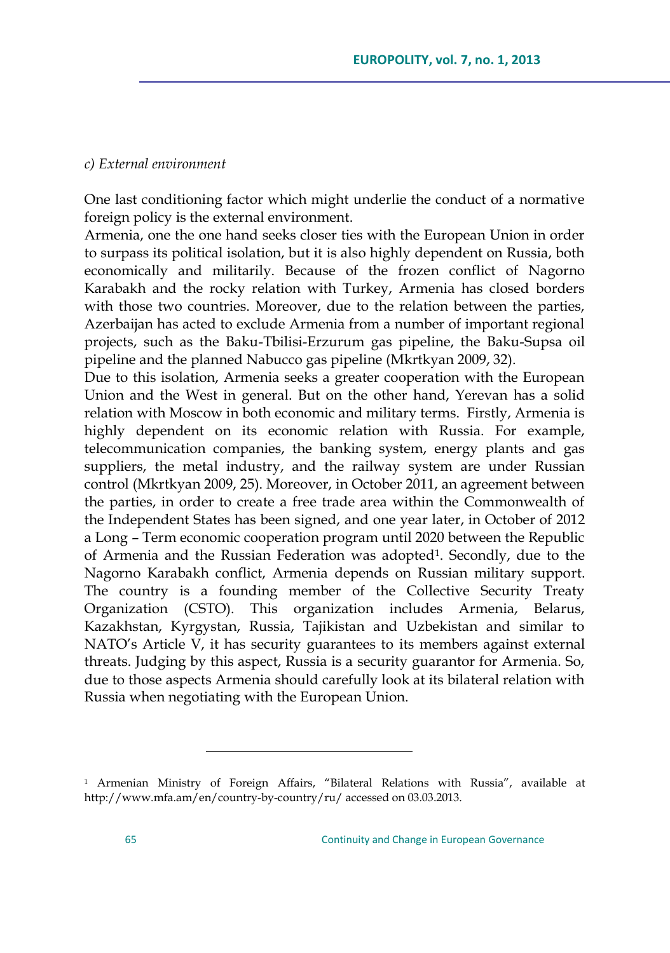### *c) External environment*

One last conditioning factor which might underlie the conduct of a normative foreign policy is the external environment.

Armenia, one the one hand seeks closer ties with the European Union in order to surpass its political isolation, but it is also highly dependent on Russia, both economically and militarily. Because of the frozen conflict of Nagorno Karabakh and the rocky relation with Turkey, Armenia has closed borders with those two countries. Moreover, due to the relation between the parties, Azerbaijan has acted to exclude Armenia from a number of important regional projects, such as the Baku-Tbilisi-Erzurum gas pipeline, the Baku-Supsa oil pipeline and the planned Nabucco gas pipeline (Mkrtkyan 2009, 32).

Due to this isolation, Armenia seeks a greater cooperation with the European Union and the West in general. But on the other hand, Yerevan has a solid relation with Moscow in both economic and military terms. Firstly, Armenia is highly dependent on its economic relation with Russia. For example, telecommunication companies, the banking system, energy plants and gas suppliers, the metal industry, and the railway system are under Russian control (Mkrtkyan 2009, 25). Moreover, in October 2011, an agreement between the parties, in order to create a free trade area within the Commonwealth of the Independent States has been signed, and one year later, in October of 2012 a Long – Term economic cooperation program until 2020 between the Republic of Armenia and the Russian Federation was adopted<sup>1</sup>. Secondly, due to the Nagorno Karabakh conflict, Armenia depends on Russian military support. The country is a founding member of the Collective Security Treaty Organization (CSTO). This organization includes Armenia, Belarus, Kazakhstan, Kyrgystan, Russia, Tajikistan and Uzbekistan and similar to NATO"s Article V, it has security guarantees to its members against external threats. Judging by this aspect, Russia is a security guarantor for Armenia. So, due to those aspects Armenia should carefully look at its bilateral relation with Russia when negotiating with the European Union.

<sup>1</sup> Armenian Ministry of Foreign Affairs, "Bilateral Relations with Russia", available at <http://www.mfa.am/en/country-by-country/ru/> accessed on 03.03.2013.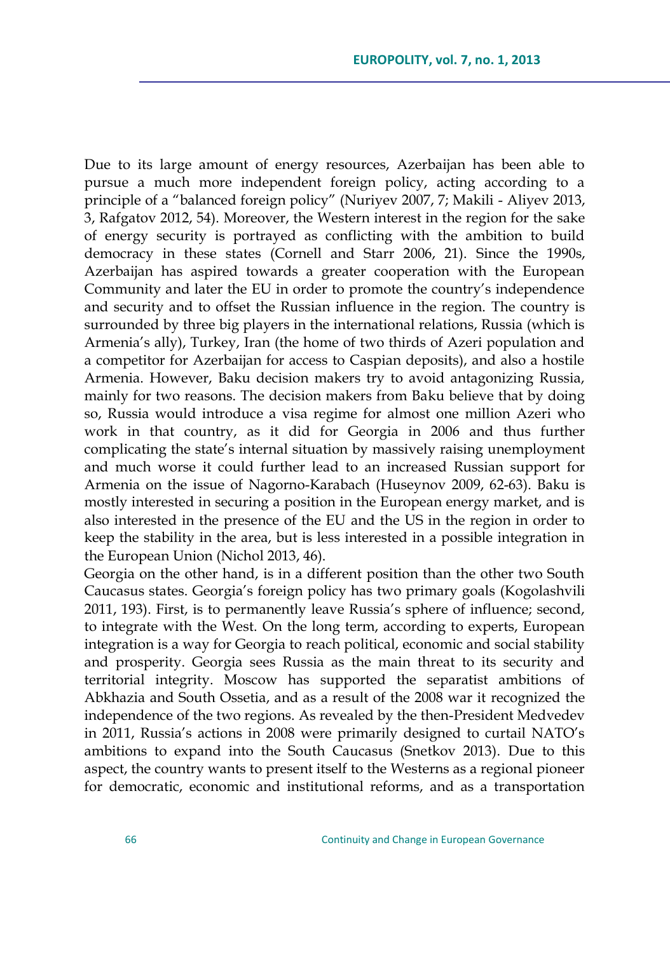Due to its large amount of energy resources, Azerbaijan has been able to pursue a much more independent foreign policy, acting according to a principle of a "balanced foreign policy" (Nuriyev 2007, 7; Makili - Aliyev 2013, 3, Rafgatov 2012, 54). Moreover, the Western interest in the region for the sake of energy security is portrayed as conflicting with the ambition to build democracy in these states (Cornell and Starr 2006, 21). Since the 1990s, Azerbaijan has aspired towards a greater cooperation with the European Community and later the EU in order to promote the country's independence and security and to offset the Russian influence in the region. The country is surrounded by three big players in the international relations, Russia (which is Armenia"s ally), Turkey, Iran (the home of two thirds of Azeri population and a competitor for Azerbaijan for access to Caspian deposits), and also a hostile Armenia. However, Baku decision makers try to avoid antagonizing Russia, mainly for two reasons. The decision makers from Baku believe that by doing so, Russia would introduce a visa regime for almost one million Azeri who work in that country, as it did for Georgia in 2006 and thus further complicating the state's internal situation by massively raising unemployment and much worse it could further lead to an increased Russian support for Armenia on the issue of Nagorno-Karabach (Huseynov 2009, 62-63). Baku is mostly interested in securing a position in the European energy market, and is also interested in the presence of the EU and the US in the region in order to keep the stability in the area, but is less interested in a possible integration in the European Union (Nichol 2013, 46).

Georgia on the other hand, is in a different position than the other two South Caucasus states. Georgia"s foreign policy has two primary goals (Kogolashvili 2011, 193). First, is to permanently leave Russia"s sphere of influence; second, to integrate with the West. On the long term, according to experts, European integration is a way for Georgia to reach political, economic and social stability and prosperity. Georgia sees Russia as the main threat to its security and territorial integrity. Moscow has supported the separatist ambitions of Abkhazia and South Ossetia, and as a result of the 2008 war it recognized the independence of the two regions. As revealed by the then-President Medvedev in 2011, Russia's actions in 2008 were primarily designed to curtail NATO's ambitions to expand into the South Caucasus (Snetkov 2013). Due to this aspect, the country wants to present itself to the Westerns as a regional pioneer for democratic, economic and institutional reforms, and as a transportation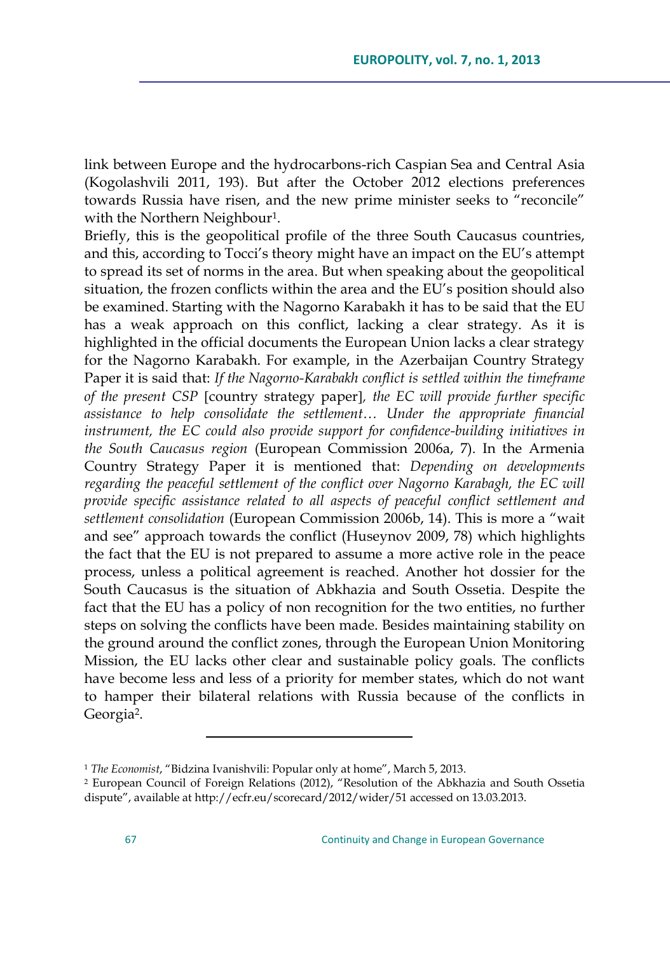link between Europe and the hydrocarbons-rich Caspian Sea and Central Asia (Kogolashvili 2011, 193). But after the October 2012 elections preferences towards Russia have risen, and the new prime minister seeks to "reconcile" with the Northern Neighbour<sup>1</sup> .

Briefly, this is the geopolitical profile of the three South Caucasus countries, and this, according to Tocci"s theory might have an impact on the EU"s attempt to spread its set of norms in the area. But when speaking about the geopolitical situation, the frozen conflicts within the area and the EU"s position should also be examined. Starting with the Nagorno Karabakh it has to be said that the EU has a weak approach on this conflict, lacking a clear strategy. As it is highlighted in the official documents the European Union lacks a clear strategy for the Nagorno Karabakh. For example, in the Azerbaijan Country Strategy Paper it is said that: *If the Nagorno-Karabakh conflict is settled within the timeframe of the present CSP* country strategy paper*, the EC will provide further specific assistance to help consolidate the settlement… Under the appropriate financial instrument, the EC could also provide support for confidence-building initiatives in the South Caucasus region* (European Commission 2006a, 7). In the Armenia Country Strategy Paper it is mentioned that: *Depending on developments regarding the peaceful settlement of the conflict over Nagorno Karabagh, the EC will provide specific assistance related to all aspects of peaceful conflict settlement and settlement consolidation* (European Commission 2006b, 14). This is more a "wait and see" approach towards the conflict (Huseynov 2009, 78) which highlights the fact that the EU is not prepared to assume a more active role in the peace process, unless a political agreement is reached. Another hot dossier for the South Caucasus is the situation of Abkhazia and South Ossetia. Despite the fact that the EU has a policy of non recognition for the two entities, no further steps on solving the conflicts have been made. Besides maintaining stability on the ground around the conflict zones, through the European Union Monitoring Mission, the EU lacks other clear and sustainable policy goals. The conflicts have become less and less of a priority for member states, which do not want to hamper their bilateral relations with Russia because of the conflicts in Georgia<sup>2</sup> .

<sup>1</sup> *The Economist*, "Bidzina Ivanishvili: Popular only at home", March 5, 2013.

<sup>2</sup> European Council of Foreign Relations (2012), "Resolution of the Abkhazia and South Ossetia dispute", available at <http://ecfr.eu/scorecard/2012/wider/51> accessed on 13.03.2013.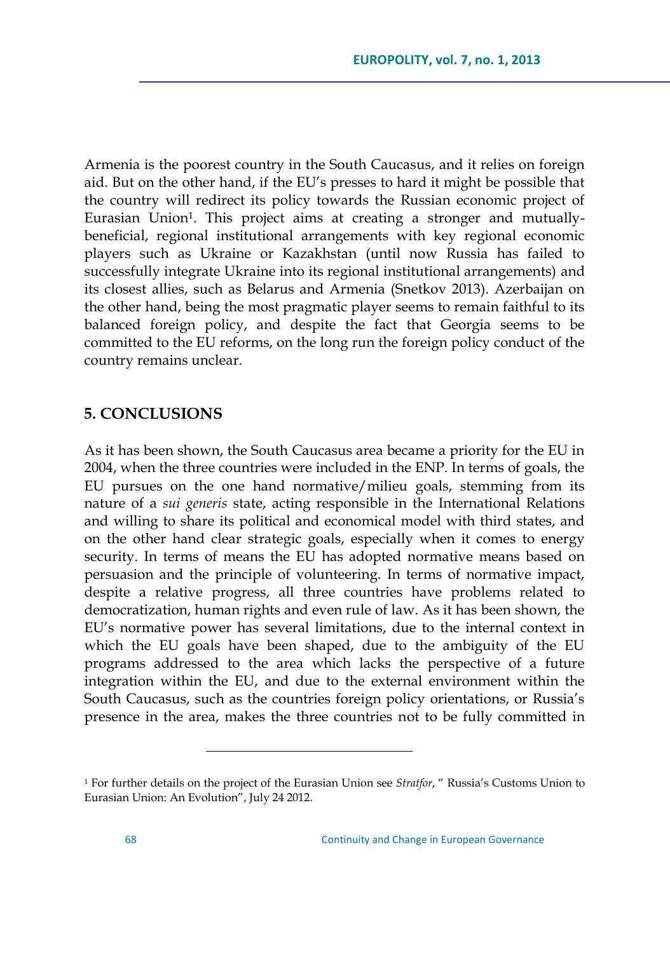Armenia is the poorest country in the South Caucasus, and it relies on foreign aid. But on the other hand, if the EU"s presses to hard it might be possible that the country will redirect its policy towards the Russian economic project of Eurasian Union<sup>1</sup> . This project aims at creating a stronger and mutuallybeneficial, regional institutional arrangements with key regional economic players such as Ukraine or Kazakhstan (until now Russia has failed to successfully integrate Ukraine into its regional institutional arrangements) and its closest allies, such as Belarus and Armenia (Snetkov 2013). Azerbaijan on the other hand, being the most pragmatic player seems to remain faithful to its balanced foreign policy, and despite the fact that Georgia seems to be committed to the EU reforms, on the long run the foreign policy conduct of the country remains unclear.

## **5. CONCLUSIONS**

As it has been shown, the South Caucasus area became a priority for the EU in 2004, when the three countries were included in the ENP. In terms of goals, the EU pursues on the one hand normative/milieu goals, stemming from its nature of a *sui generis* state, acting responsible in the International Relations and willing to share its political and economical model with third states, and on the other hand clear strategic goals, especially when it comes to energy security. In terms of means the EU has adopted normative means based on persuasion and the principle of volunteering. In terms of normative impact, despite a relative progress, all three countries have problems related to democratization, human rights and even rule of law. As it has been shown, the EU"s normative power has several limitations, due to the internal context in which the EU goals have been shaped, due to the ambiguity of the EU programs addressed to the area which lacks the perspective of a future integration within the EU, and due to the external environment within the South Caucasus, such as the countries foreign policy orientations, or Russia"s presence in the area, makes the three countries not to be fully committed in

<sup>1</sup> For further details on the project of the Eurasian Union see *Stratfor*, " Russia"s Customs Union to Eurasian Union: An Evolution", July 24 2012.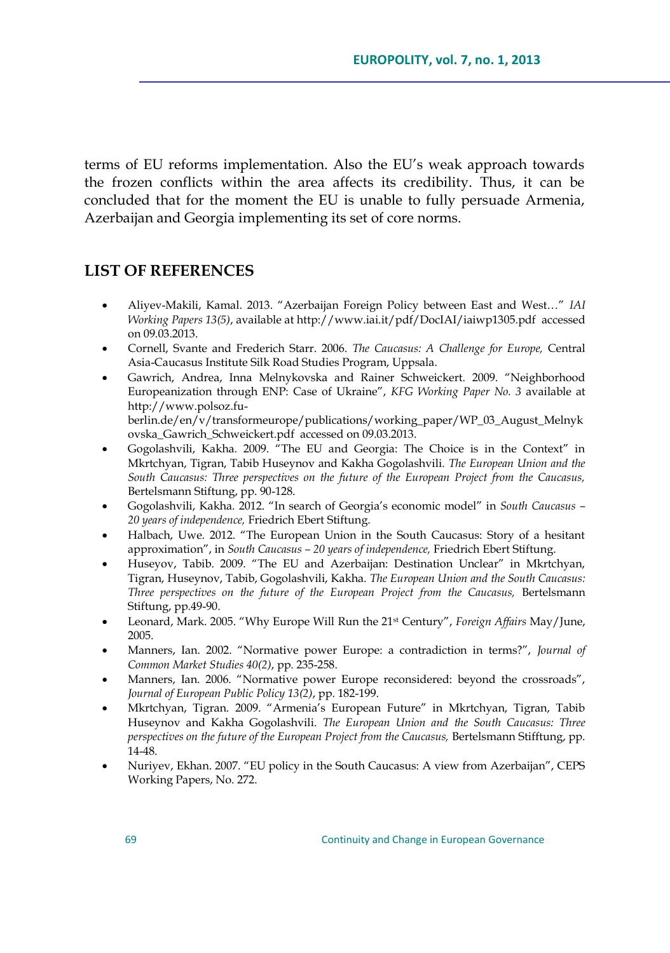terms of EU reforms implementation. Also the EU"s weak approach towards the frozen conflicts within the area affects its credibility. Thus, it can be concluded that for the moment the EU is unable to fully persuade Armenia, Azerbaijan and Georgia implementing its set of core norms.

### **LIST OF REFERENCES**

- Aliyev-Makili, Kamal. 2013. "Azerbaijan Foreign Policy between East and West…" *IAI Working Papers 13(5)*, available a[t http://www.iai.it/pdf/DocIAI/iaiwp1305.pdf](http://www.iai.it/pdf/DocIAI/iaiwp1305.pdf) accessed on 09.03.2013.
- Cornell, Svante and Frederich Starr. 2006. *The Caucasus: A Challenge for Europe,* Central Asia-Caucasus Institute Silk Road Studies Program, Uppsala.
- Gawrich, Andrea, Inna Melnykovska and Rainer Schweickert. 2009. "Neighborhood Europeanization through ENP: Case of Ukraine", *KFG Working Paper No. 3* available at [http://www.polsoz.fu](http://www.polsoz.fu-berlin.de/en/v/transformeurope/publications/working_paper/WP_03_August_Melnykovska_Gawrich_Schweickert.pdf)[berlin.de/en/v/transformeurope/publications/working\\_paper/WP\\_03\\_August\\_Melnyk](http://www.polsoz.fu-berlin.de/en/v/transformeurope/publications/working_paper/WP_03_August_Melnykovska_Gawrich_Schweickert.pdf)
- [ovska\\_Gawrich\\_Schweickert.pdf](http://www.polsoz.fu-berlin.de/en/v/transformeurope/publications/working_paper/WP_03_August_Melnykovska_Gawrich_Schweickert.pdf) accessed on 09.03.2013. Gogolashvili, Kakha. 2009. "The EU and Georgia: The Choice is in the Context" in Mkrtchyan, Tigran, Tabib Huseynov and Kakha Gogolashvili. *The European Union and the South Caucasus: Three perspectives on the future of the European Project from the Caucasus,*  Bertelsmann Stiftung, pp. 90-128.
- Gogolashvili, Kakha. 2012. "In search of Georgia"s economic model" in *South Caucasus – 20 years of independence,* Friedrich Ebert Stiftung.
- Halbach, Uwe. 2012. "The European Union in the South Caucasus: Story of a hesitant approximation", in *South Caucasus – 20 years of independence,* Friedrich Ebert Stiftung.
- Huseyov, Tabib. 2009. "The EU and Azerbaijan: Destination Unclear" in Mkrtchyan, Tigran, Huseynov, Tabib, Gogolashvili, Kakha. *The European Union and the South Caucasus: Three perspectives on the future of the European Project from the Caucasus, Bertelsmann* Stiftung, pp.49-90.
- Leonard, Mark. 2005. "Why Europe Will Run the 21st Century", *Foreign Affairs* May/June, 2005.
- Manners, Ian. 2002. "Normative power Europe: a contradiction in terms?", *Journal of Common Market Studies 40(2)*, pp. 235-258.
- Manners, Ian. 2006. "Normative power Europe reconsidered: beyond the crossroads", *Journal of European Public Policy 13(2)*, pp. 182-199.
- Mkrtchyan, Tigran. 2009. "Armenia"s European Future" in Mkrtchyan, Tigran, Tabib Huseynov and Kakha Gogolashvili. *The European Union and the South Caucasus: Three perspectives on the future of the European Project from the Caucasus,* Bertelsmann Stifftung, pp. 14-48.
- Nuriyev, Ekhan. 2007. "EU policy in the South Caucasus: A view from Azerbaijan", CEPS Working Papers, No. 272.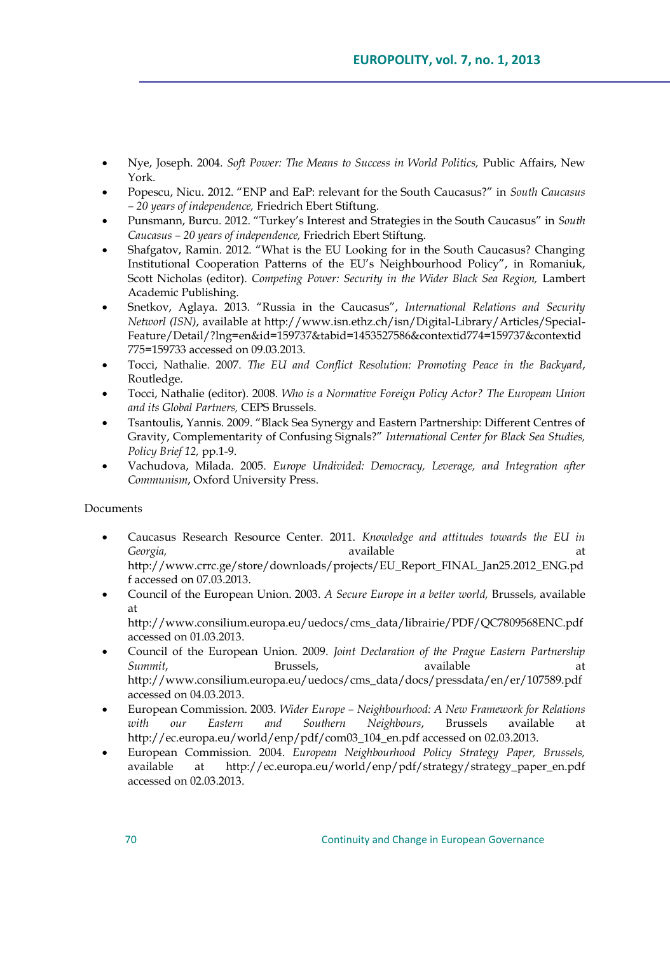- Nye, Joseph. 2004. *Soft Power: The Means to Success in World Politics,* Public Affairs, New York.
- Popescu, Nicu. 2012. "ENP and EaP: relevant for the South Caucasus?" in *South Caucasus – 20 years of independence,* Friedrich Ebert Stiftung.
- Punsmann, Burcu. 2012. "Turkey"s Interest and Strategies in the South Caucasus" in *South Caucasus – 20 years of independence,* Friedrich Ebert Stiftung.
- Shafgatov, Ramin. 2012. "What is the EU Looking for in the South Caucasus? Changing Institutional Cooperation Patterns of the EU"s Neighbourhood Policy", in Romaniuk, Scott Nicholas (editor). *Competing Power: Security in the Wider Black Sea Region*, Lambert Academic Publishing.
- Snetkov, Aglaya. 2013. "Russia in the Caucasus", *International Relations and Security Networl (ISN)*, available a[t http://www.isn.ethz.ch/isn/Digital-Library/Articles/Special-](http://www.isn.ethz.ch/isn/Digital-Library/Articles/Special-Feature/Detail/?lng=en&id=159737&tabid=1453527586&contextid774=159737&contextid775=159733)[Feature/Detail/?lng=en&id=159737&tabid=1453527586&contextid774=159737&contextid](http://www.isn.ethz.ch/isn/Digital-Library/Articles/Special-Feature/Detail/?lng=en&id=159737&tabid=1453527586&contextid774=159737&contextid775=159733) [775=159733](http://www.isn.ethz.ch/isn/Digital-Library/Articles/Special-Feature/Detail/?lng=en&id=159737&tabid=1453527586&contextid774=159737&contextid775=159733) accessed on 09.03.2013.
- Tocci, Nathalie. 2007. *The EU and Conflict Resolution: Promoting Peace in the Backyard*, Routledge.
- Tocci, Nathalie (editor). 2008. *Who is a Normative Foreign Policy Actor? The European Union and its Global Partners,* CEPS Brussels.
- Tsantoulis, Yannis. 2009. "Black Sea Synergy and Eastern Partnership: Different Centres of Gravity, Complementarity of Confusing Signals?" *International Center for Black Sea Studies, Policy Brief 12,* pp.1-9.
- Vachudova, Milada. 2005. *Europe Undivided: Democracy, Leverage, and Integration after Communism*, Oxford University Press.

#### Documents

- Caucasus Research Resource Center. 2011. *Knowledge and attitudes towards the EU in Georgia,* available at [http://www.crrc.ge/store/downloads/projects/EU\\_Report\\_FINAL\\_Jan25.2012\\_ENG.pd](http://www.crrc.ge/store/downloads/projects/EU_Report_FINAL_Jan25.2012_ENG.pdf) [f](http://www.crrc.ge/store/downloads/projects/EU_Report_FINAL_Jan25.2012_ENG.pdf) accessed on 07.03.2013.
- Council of the European Union. 2003. *A Secure Europe in a better world,* Brussels, available at

[http://www.consilium.europa.eu/uedocs/cms\\_data/librairie/PDF/QC7809568ENC.pdf](http://www.consilium.europa.eu/uedocs/cms_data/librairie/PDF/QC7809568ENC.pdf)  accessed on 01.03.2013.

- Council of the European Union. 2009. *Joint Declaration of the Prague Eastern Partnership Summit*, Brussels, available at [http://www.consilium.europa.eu/uedocs/cms\\_data/docs/pressdata/en/er/107589.pdf](http://www.consilium.europa.eu/uedocs/cms_data/docs/pressdata/en/er/107589.pdf%20accessed%20on%2004.03.2013)  [accessed on 04.03.2013.](http://www.consilium.europa.eu/uedocs/cms_data/docs/pressdata/en/er/107589.pdf%20accessed%20on%2004.03.2013)
- European Commission. 2003. *Wider Europe – Neighbourhood: A New Framework for Relations with our Eastern and Southern Neighbours*, Brussels available at [http://ec.europa.eu/world/enp/pdf/com03\\_104\\_en.pdf](http://ec.europa.eu/world/enp/pdf/com03_104_en.pdf) accessed on 02.03.2013.
- European Commission. 2004. *European Neighbourhood Policy Strategy Paper, Brussels,*  available at [http://ec.europa.eu/world/enp/pdf/strategy/strategy\\_paper\\_en.pdf](http://ec.europa.eu/world/enp/pdf/strategy/strategy_paper_en.pdf) accessed on 02.03.2013.